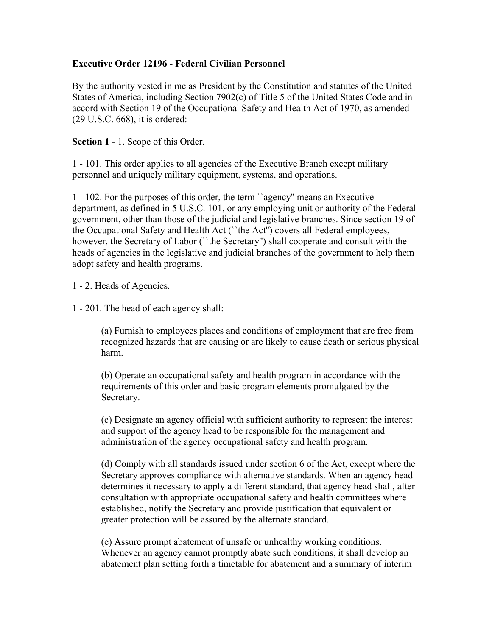## **Executive Order 12196 - Federal Civilian Personnel**

By the authority vested in me as President by the Constitution and statutes of the United States of America, including Section 7902(c) of Title 5 of the United States Code and in accord with Section 19 of the Occupational Safety and Health Act of 1970, as amended (29 U.S.C. 668), it is ordered:

## **Section 1** - 1. Scope of this Order.

1 - 101. This order applies to all agencies of the Executive Branch except military personnel and uniquely military equipment, systems, and operations.

1 - 102. For the purposes of this order, the term ``agency'' means an Executive department, as defined in 5 U.S.C. 101, or any employing unit or authority of the Federal government, other than those of the judicial and legislative branches. Since section 19 of the Occupational Safety and Health Act (``the Act'') covers all Federal employees, however, the Secretary of Labor (``the Secretary'') shall cooperate and consult with the heads of agencies in the legislative and judicial branches of the government to help them adopt safety and health programs.

1 - 2. Heads of Agencies.

1 - 201. The head of each agency shall:

(a) Furnish to employees places and conditions of employment that are free from recognized hazards that are causing or are likely to cause death or serious physical harm.

(b) Operate an occupational safety and health program in accordance with the requirements of this order and basic program elements promulgated by the Secretary.

(c) Designate an agency official with sufficient authority to represent the interest and support of the agency head to be responsible for the management and administration of the agency occupational safety and health program.

(d) Comply with all standards issued under section 6 of the Act, except where the Secretary approves compliance with alternative standards. When an agency head determines it necessary to apply a different standard, that agency head shall, after consultation with appropriate occupational safety and health committees where established, notify the Secretary and provide justification that equivalent or greater protection will be assured by the alternate standard.

(e) Assure prompt abatement of unsafe or unhealthy working conditions. Whenever an agency cannot promptly abate such conditions, it shall develop an abatement plan setting forth a timetable for abatement and a summary of interim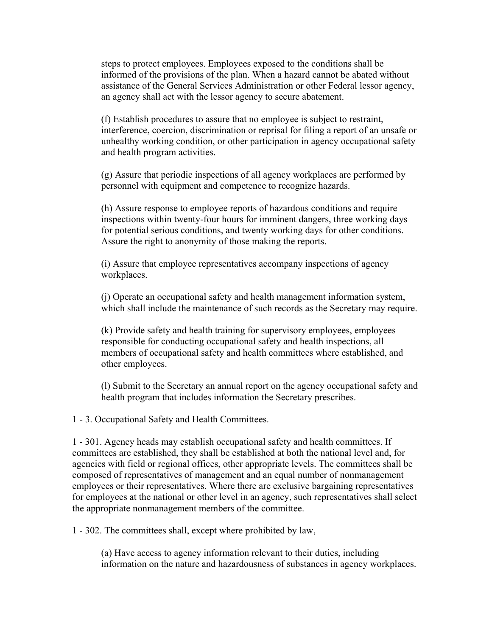steps to protect employees. Employees exposed to the conditions shall be informed of the provisions of the plan. When a hazard cannot be abated without assistance of the General Services Administration or other Federal lessor agency, an agency shall act with the lessor agency to secure abatement.

(f) Establish procedures to assure that no employee is subject to restraint, interference, coercion, discrimination or reprisal for filing a report of an unsafe or unhealthy working condition, or other participation in agency occupational safety and health program activities.

(g) Assure that periodic inspections of all agency workplaces are performed by personnel with equipment and competence to recognize hazards.

(h) Assure response to employee reports of hazardous conditions and require inspections within twenty-four hours for imminent dangers, three working days for potential serious conditions, and twenty working days for other conditions. Assure the right to anonymity of those making the reports.

(i) Assure that employee representatives accompany inspections of agency workplaces.

(j) Operate an occupational safety and health management information system, which shall include the maintenance of such records as the Secretary may require.

(k) Provide safety and health training for supervisory employees, employees responsible for conducting occupational safety and health inspections, all members of occupational safety and health committees where established, and other employees.

(l) Submit to the Secretary an annual report on the agency occupational safety and health program that includes information the Secretary prescribes.

1 - 3. Occupational Safety and Health Committees.

1 - 301. Agency heads may establish occupational safety and health committees. If committees are established, they shall be established at both the national level and, for agencies with field or regional offices, other appropriate levels. The committees shall be composed of representatives of management and an equal number of nonmanagement employees or their representatives. Where there are exclusive bargaining representatives for employees at the national or other level in an agency, such representatives shall select the appropriate nonmanagement members of the committee.

1 - 302. The committees shall, except where prohibited by law,

(a) Have access to agency information relevant to their duties, including information on the nature and hazardousness of substances in agency workplaces.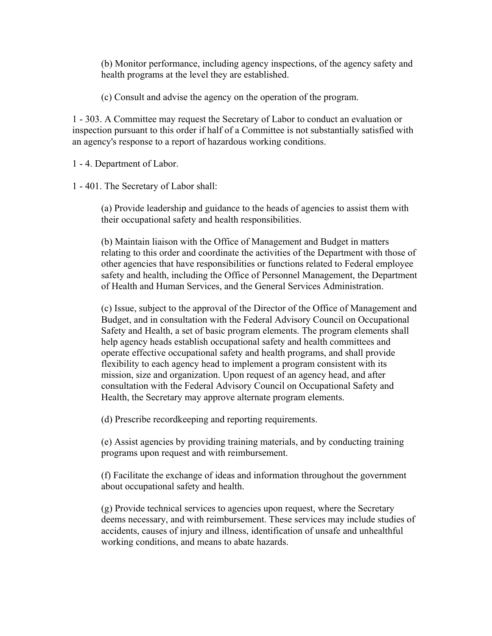(b) Monitor performance, including agency inspections, of the agency safety and health programs at the level they are established.

(c) Consult and advise the agency on the operation of the program.

1 - 303. A Committee may request the Secretary of Labor to conduct an evaluation or inspection pursuant to this order if half of a Committee is not substantially satisfied with an agency's response to a report of hazardous working conditions.

1 - 4. Department of Labor.

1 - 401. The Secretary of Labor shall:

(a) Provide leadership and guidance to the heads of agencies to assist them with their occupational safety and health responsibilities.

(b) Maintain liaison with the Office of Management and Budget in matters relating to this order and coordinate the activities of the Department with those of other agencies that have responsibilities or functions related to Federal employee safety and health, including the Office of Personnel Management, the Department of Health and Human Services, and the General Services Administration.

(c) Issue, subject to the approval of the Director of the Office of Management and Budget, and in consultation with the Federal Advisory Council on Occupational Safety and Health, a set of basic program elements. The program elements shall help agency heads establish occupational safety and health committees and operate effective occupational safety and health programs, and shall provide flexibility to each agency head to implement a program consistent with its mission, size and organization. Upon request of an agency head, and after consultation with the Federal Advisory Council on Occupational Safety and Health, the Secretary may approve alternate program elements.

(d) Prescribe recordkeeping and reporting requirements.

(e) Assist agencies by providing training materials, and by conducting training programs upon request and with reimbursement.

(f) Facilitate the exchange of ideas and information throughout the government about occupational safety and health.

(g) Provide technical services to agencies upon request, where the Secretary deems necessary, and with reimbursement. These services may include studies of accidents, causes of injury and illness, identification of unsafe and unhealthful working conditions, and means to abate hazards.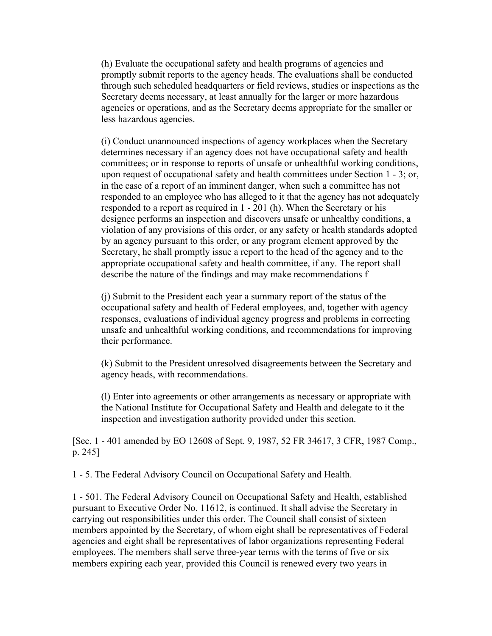(h) Evaluate the occupational safety and health programs of agencies and promptly submit reports to the agency heads. The evaluations shall be conducted through such scheduled headquarters or field reviews, studies or inspections as the Secretary deems necessary, at least annually for the larger or more hazardous agencies or operations, and as the Secretary deems appropriate for the smaller or less hazardous agencies.

(i) Conduct unannounced inspections of agency workplaces when the Secretary determines necessary if an agency does not have occupational safety and health committees; or in response to reports of unsafe or unhealthful working conditions, upon request of occupational safety and health committees under Section 1 - 3; or, in the case of a report of an imminent danger, when such a committee has not responded to an employee who has alleged to it that the agency has not adequately responded to a report as required in 1 - 201 (h). When the Secretary or his designee performs an inspection and discovers unsafe or unhealthy conditions, a violation of any provisions of this order, or any safety or health standards adopted by an agency pursuant to this order, or any program element approved by the Secretary, he shall promptly issue a report to the head of the agency and to the appropriate occupational safety and health committee, if any. The report shall describe the nature of the findings and may make recommendations f

(j) Submit to the President each year a summary report of the status of the occupational safety and health of Federal employees, and, together with agency responses, evaluations of individual agency progress and problems in correcting unsafe and unhealthful working conditions, and recommendations for improving their performance.

(k) Submit to the President unresolved disagreements between the Secretary and agency heads, with recommendations.

(l) Enter into agreements or other arrangements as necessary or appropriate with the National Institute for Occupational Safety and Health and delegate to it the inspection and investigation authority provided under this section.

[Sec. 1 - 401 amended by EO 12608 of Sept. 9, 1987, 52 FR 34617, 3 CFR, 1987 Comp., p. 245]

1 - 5. The Federal Advisory Council on Occupational Safety and Health.

1 - 501. The Federal Advisory Council on Occupational Safety and Health, established pursuant to Executive Order No. 11612, is continued. It shall advise the Secretary in carrying out responsibilities under this order. The Council shall consist of sixteen members appointed by the Secretary, of whom eight shall be representatives of Federal agencies and eight shall be representatives of labor organizations representing Federal employees. The members shall serve three-year terms with the terms of five or six members expiring each year, provided this Council is renewed every two years in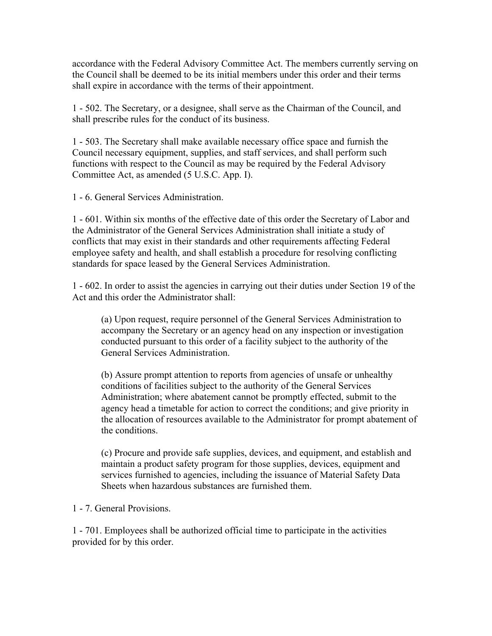accordance with the Federal Advisory Committee Act. The members currently serving on the Council shall be deemed to be its initial members under this order and their terms shall expire in accordance with the terms of their appointment.

1 - 502. The Secretary, or a designee, shall serve as the Chairman of the Council, and shall prescribe rules for the conduct of its business.

1 - 503. The Secretary shall make available necessary office space and furnish the Council necessary equipment, supplies, and staff services, and shall perform such functions with respect to the Council as may be required by the Federal Advisory Committee Act, as amended (5 U.S.C. App. I).

1 - 6. General Services Administration.

1 - 601. Within six months of the effective date of this order the Secretary of Labor and the Administrator of the General Services Administration shall initiate a study of conflicts that may exist in their standards and other requirements affecting Federal employee safety and health, and shall establish a procedure for resolving conflicting standards for space leased by the General Services Administration.

1 - 602. In order to assist the agencies in carrying out their duties under Section 19 of the Act and this order the Administrator shall:

(a) Upon request, require personnel of the General Services Administration to accompany the Secretary or an agency head on any inspection or investigation conducted pursuant to this order of a facility subject to the authority of the General Services Administration.

(b) Assure prompt attention to reports from agencies of unsafe or unhealthy conditions of facilities subject to the authority of the General Services Administration; where abatement cannot be promptly effected, submit to the agency head a timetable for action to correct the conditions; and give priority in the allocation of resources available to the Administrator for prompt abatement of the conditions.

(c) Procure and provide safe supplies, devices, and equipment, and establish and maintain a product safety program for those supplies, devices, equipment and services furnished to agencies, including the issuance of Material Safety Data Sheets when hazardous substances are furnished them.

1 - 7. General Provisions.

1 - 701. Employees shall be authorized official time to participate in the activities provided for by this order.